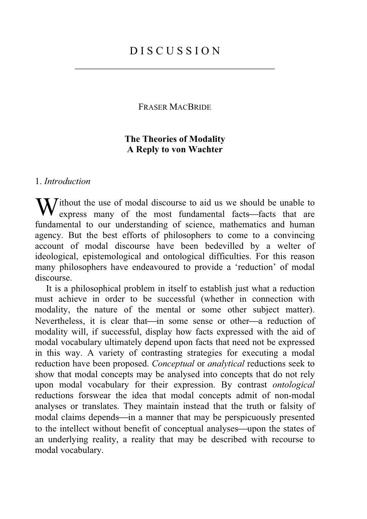\_\_\_\_\_\_\_\_\_\_\_\_\_\_\_\_\_\_\_\_\_\_\_\_\_\_\_\_\_\_\_\_\_\_\_\_

FRASER MACBRIDE

# **The Theories of Modality A Reply to von Wachter**

## 1. *Introduction*

Without the use of modal discourse to aid us we should be unable to express many of the most fundamental facts—facts that are express many of the most fundamental facts—facts that are fundamental to our understanding of science, mathematics and human agency. But the best efforts of philosophers to come to a convincing account of modal discourse have been bedevilled by a welter of ideological, epistemological and ontological difficulties. For this reason many philosophers have endeavoured to provide a 'reduction' of modal discourse.

It is a philosophical problem in itself to establish just what a reduction must achieve in order to be successful (whether in connection with modality, the nature of the mental or some other subject matter). Nevertheless, it is clear that—in some sense or other—a reduction of modality will, if successful, display how facts expressed with the aid of modal vocabulary ultimately depend upon facts that need not be expressed in this way. A variety of contrasting strategies for executing a modal reduction have been proposed. *Conceptual* or *analytical* reductions seek to show that modal concepts may be analysed into concepts that do not rely upon modal vocabulary for their expression. By contrast *ontological* reductions forswear the idea that modal concepts admit of non-modal analyses or translates. They maintain instead that the truth or falsity of modal claims depends—in a manner that may be perspicuously presented to the intellect without benefit of conceptual analyses—upon the states of an underlying reality, a reality that may be described with recourse to modal vocabulary.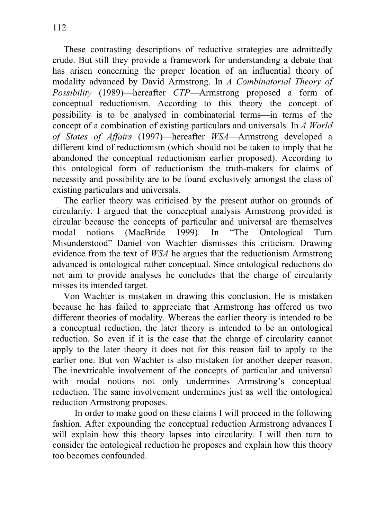These contrasting descriptions of reductive strategies are admittedly crude. But still they provide a framework for understanding a debate that has arisen concerning the proper location of an influential theory of modality advanced by David Armstrong. In *A Combinatorial Theory of Possibility* (1989)—hereafter *CTP*—Armstrong proposed a form of conceptual reductionism. According to this theory the concept of possibility is to be analysed in combinatorial terms—in terms of the concept of a combination of existing particulars and universals. In *A World of States of Affairs* (1997)—hereafter *WSA*—Armstrong developed a different kind of reductionism (which should not be taken to imply that he abandoned the conceptual reductionism earlier proposed). According to this ontological form of reductionism the truth-makers for claims of necessity and possibility are to be found exclusively amongst the class of existing particulars and universals.

The earlier theory was criticised by the present author on grounds of circularity. I argued that the conceptual analysis Armstrong provided is circular because the concepts of particular and universal are themselves<br>modal notions (MacBride 1999). In "The Ontological Turn modal notions (MacBride 1999). In "The Ontological Turn Misunderstood" Daniel von Wachter dismisses this criticism. Drawing evidence from the text of *WSA* he argues that the reductionism Armstrong advanced is ontological rather conceptual. Since ontological reductions do not aim to provide analyses he concludes that the charge of circularity misses its intended target.

Von Wachter is mistaken in drawing this conclusion. He is mistaken because he has failed to appreciate that Armstrong has offered us two different theories of modality. Whereas the earlier theory is intended to be a conceptual reduction, the later theory is intended to be an ontological reduction. So even if it is the case that the charge of circularity cannot apply to the later theory it does not for this reason fail to apply to the earlier one. But von Wachter is also mistaken for another deeper reason. The inextricable involvement of the concepts of particular and universal with modal notions not only undermines Armstrong's conceptual reduction. The same involvement undermines just as well the ontological reduction Armstrong proposes.

 In order to make good on these claims I will proceed in the following fashion. After expounding the conceptual reduction Armstrong advances I will explain how this theory lapses into circularity. I will then turn to consider the ontological reduction he proposes and explain how this theory too becomes confounded.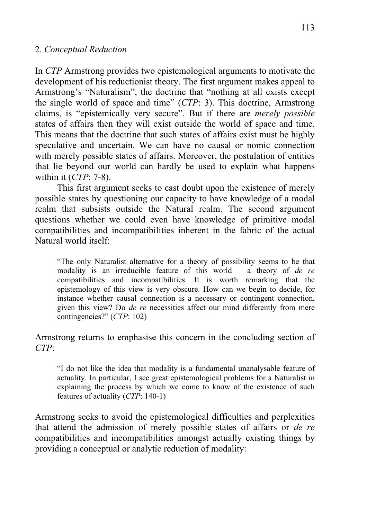## 2. *Conceptual Reduction*

In *CTP* Armstrong provides two epistemological arguments to motivate the development of his reductionist theory. The first argument makes appeal to Armstrong's "Naturalism", the doctrine that "nothing at all exists except the single world of space and time" (*CTP*: 3). This doctrine, Armstrong claims, is "epistemically very secure". But if there are *merely possible* states of affairs then they will exist outside the world of space and time. This means that the doctrine that such states of affairs exist must be highly speculative and uncertain. We can have no causal or nomic connection with merely possible states of affairs. Moreover, the postulation of entities that lie beyond our world can hardly be used to explain what happens within it (*CTP*: 7-8).

This first argument seeks to cast doubt upon the existence of merely possible states by questioning our capacity to have knowledge of a modal realm that subsists outside the Natural realm. The second argument questions whether we could even have knowledge of primitive modal compatibilities and incompatibilities inherent in the fabric of the actual Natural world itself:

"The only Naturalist alternative for a theory of possibility seems to be that modality is an irreducible feature of this world – a theory of *de re* compatibilities and incompatibilities. It is worth remarking that the epistemology of this view is very obscure. How can we begin to decide, for instance whether causal connection is a necessary or contingent connection, given this view? Do *de re* necessities affect our mind differently from mere contingencies?" (*CTP*: 102)

## Armstrong returns to emphasise this concern in the concluding section of *CTP*:

"I do not like the idea that modality is a fundamental unanalysable feature of actuality. In particular, I see great epistemological problems for a Naturalist in explaining the process by which we come to know of the existence of such features of actuality (*CTP*: 140-1)

Armstrong seeks to avoid the epistemological difficulties and perplexities that attend the admission of merely possible states of affairs or *de re* compatibilities and incompatibilities amongst actually existing things by providing a conceptual or analytic reduction of modality: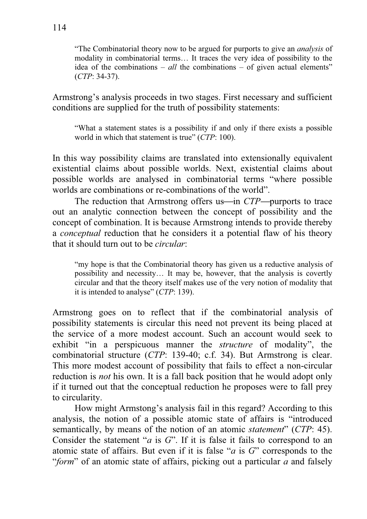"The Combinatorial theory now to be argued for purports to give an *analysis* of modality in combinatorial terms… It traces the very idea of possibility to the idea of the combinations – *all* the combinations – of given actual elements" (*CTP*: 34-37).

Armstrong's analysis proceeds in two stages. First necessary and sufficient conditions are supplied for the truth of possibility statements:

"What a statement states is a possibility if and only if there exists a possible world in which that statement is true" (*CTP*: 100).

In this way possibility claims are translated into extensionally equivalent existential claims about possible worlds. Next, existential claims about possible worlds are analysed in combinatorial terms "where possible worlds are combinations or re-combinations of the world".

The reduction that Armstrong offers us—in *CTP*—purports to trace out an analytic connection between the concept of possibility and the concept of combination. It is because Armstrong intends to provide thereby a *conceptual* reduction that he considers it a potential flaw of his theory that it should turn out to be *circular*:

"my hope is that the Combinatorial theory has given us a reductive analysis of possibility and necessity… It may be, however, that the analysis is covertly circular and that the theory itself makes use of the very notion of modality that it is intended to analyse" (*CTP*: 139).

Armstrong goes on to reflect that if the combinatorial analysis of possibility statements is circular this need not prevent its being placed at the service of a more modest account. Such an account would seek to exhibit "in a perspicuous manner the *structure* of modality", the combinatorial structure (*CTP*: 139-40; c.f. 34). But Armstrong is clear. This more modest account of possibility that fails to effect a non-circular reduction is *not* his own. It is a fall back position that he would adopt only if it turned out that the conceptual reduction he proposes were to fall prey to circularity.

How might Armstong's analysis fail in this regard? According to this analysis, the notion of a possible atomic state of affairs is "introduced semantically, by means of the notion of an atomic *statement*" (*CTP*: 45). Consider the statement "*a* is *G*". If it is false it fails to correspond to an atomic state of affairs. But even if it is false "*a* is *G*" corresponds to the "*form*" of an atomic state of affairs, picking out a particular *a* and falsely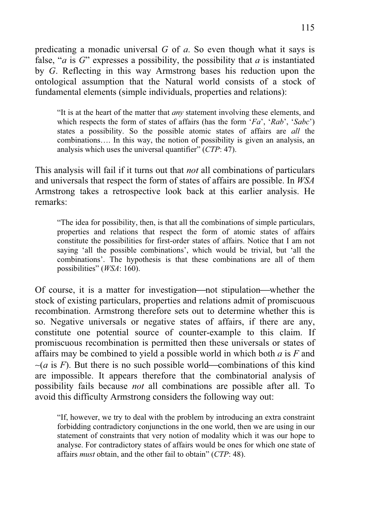predicating a monadic universal *G* of *a*. So even though what it says is false, "*a* is *G*" expresses a possibility, the possibility that *a* is instantiated by *G*. Reflecting in this way Armstrong bases his reduction upon the ontological assumption that the Natural world consists of a stock of fundamental elements (simple individuals, properties and relations):

"It is at the heart of the matter that *any* statement involving these elements, and which respects the form of states of affairs (has the form '*Fa*', '*Rab*', '*Sabc*') states a possibility. So the possible atomic states of affairs are *all* the combinations…. In this way, the notion of possibility is given an analysis, an analysis which uses the universal quantifier" (*CTP*: 47).

This analysis will fail if it turns out that *not* all combinations of particulars and universals that respect the form of states of affairs are possible. In *WSA*  Armstrong takes a retrospective look back at this earlier analysis. He remarks:

"The idea for possibility, then, is that all the combinations of simple particulars, properties and relations that respect the form of atomic states of affairs constitute the possibilities for first-order states of affairs. Notice that I am not saying 'all the possible combinations', which would be trivial, but 'all the combinations'. The hypothesis is that these combinations are all of them possibilities" (*WSA*: 160).

Of course, it is a matter for investigation—not stipulation—whether the stock of existing particulars, properties and relations admit of promiscuous recombination. Armstrong therefore sets out to determine whether this is so. Negative universals or negative states of affairs, if there are any, constitute one potential source of counter-example to this claim. If promiscuous recombination is permitted then these universals or states of affairs may be combined to yield a possible world in which both *a* is *F* and  $~\sim$ (*a* is *F*). But there is no such possible world—combinations of this kind are impossible. It appears therefore that the combinatorial analysis of possibility fails because *not* all combinations are possible after all. To avoid this difficulty Armstrong considers the following way out:

"If, however, we try to deal with the problem by introducing an extra constraint forbidding contradictory conjunctions in the one world, then we are using in our statement of constraints that very notion of modality which it was our hope to analyse. For contradictory states of affairs would be ones for which one state of affairs *must* obtain, and the other fail to obtain" (*CTP*: 48).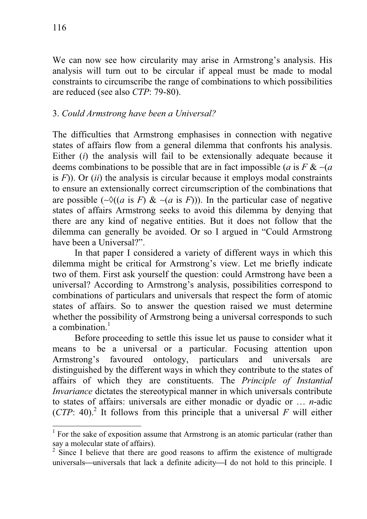We can now see how circularity may arise in Armstrong's analysis. His analysis will turn out to be circular if appeal must be made to modal constraints to circumscribe the range of combinations to which possibilities are reduced (see also *CTP*: 79-80).

## 3. *Could Armstrong have been a Universal?*

The difficulties that Armstrong emphasises in connection with negative states of affairs flow from a general dilemma that confronts his analysis. Either (*i*) the analysis will fail to be extensionally adequate because it deems combinations to be possible that are in fact impossible (*a* is *F* & ∼(*a* is *F*)). Or (*ii*) the analysis is circular because it employs modal constraints to ensure an extensionally correct circumscription of the combinations that are possible ( $\sim \delta((a \text{ is } F) \& \sim (a \text{ is } F))$ ). In the particular case of negative states of affairs Armstrong seeks to avoid this dilemma by denying that there are any kind of negative entities. But it does not follow that the dilemma can generally be avoided. Or so I argued in "Could Armstrong have been a Universal?".

 In that paper I considered a variety of different ways in which this dilemma might be critical for Armstrong's view. Let me briefly indicate two of them. First ask yourself the question: could Armstrong have been a universal? According to Armstrong's analysis, possibilities correspond to combinations of particulars and universals that respect the form of atomic states of affairs. So to answer the question raised we must determine whether the possibility of Armstrong being a universal corresponds to such a combination $<sup>1</sup>$ </sup>

Before proceeding to settle this issue let us pause to consider what it means to be a universal or a particular. Focusing attention upon Armstrong's favoured ontology, particulars and universals are distinguished by the different ways in which they contribute to the states of affairs of which they are constituents. The *Principle of Instantial Invariance* dictates the stereotypical manner in which universals contribute to states of affairs: universals are either monadic or dyadic or … *n*-adic (*CTP*: 40).<sup>2</sup> It follows from this principle that a universal  $F$  will either

<sup>&</sup>lt;sup>1</sup> For the sake of exposition assume that Armstrong is an atomic particular (rather than say a molecular state of affairs).

 $2^2$  Since I believe that there are good reasons to affirm the existence of multigrade universals—universals that lack a definite adicity—I do not hold to this principle. I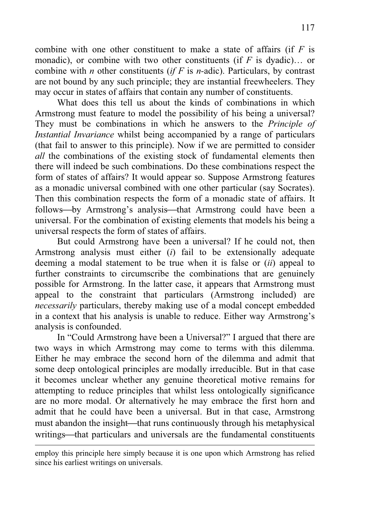combine with one other constituent to make a state of affairs (if *F* is monadic), or combine with two other constituents (if *F* is dyadic)… or combine with *n* other constituents (*if F* is *n-*adic). Particulars, by contrast are not bound by any such principle; they are instantial freewheelers. They may occur in states of affairs that contain any number of constituents.

 What does this tell us about the kinds of combinations in which Armstrong must feature to model the possibility of his being a universal? They must be combinations in which he answers to the *Principle of Instantial Invariance* whilst being accompanied by a range of particulars (that fail to answer to this principle). Now if we are permitted to consider *all* the combinations of the existing stock of fundamental elements then there will indeed be such combinations. Do these combinations respect the form of states of affairs? It would appear so. Suppose Armstrong features as a monadic universal combined with one other particular (say Socrates). Then this combination respects the form of a monadic state of affairs. It follows—by Armstrong's analysis—that Armstrong could have been a universal. For the combination of existing elements that models his being a universal respects the form of states of affairs.

 But could Armstrong have been a universal? If he could not, then Armstrong analysis must either (*i*) fail to be extensionally adequate deeming a modal statement to be true when it is false or (*ii*) appeal to further constraints to circumscribe the combinations that are genuinely possible for Armstrong. In the latter case, it appears that Armstrong must appeal to the constraint that particulars (Armstrong included) are *necessarily* particulars, thereby making use of a modal concept embedded in a context that his analysis is unable to reduce. Either way Armstrong's analysis is confounded.

In "Could Armstrong have been a Universal?" I argued that there are two ways in which Armstrong may come to terms with this dilemma. Either he may embrace the second horn of the dilemma and admit that some deep ontological principles are modally irreducible. But in that case it becomes unclear whether any genuine theoretical motive remains for attempting to reduce principles that whilst less ontologically significance are no more modal. Or alternatively he may embrace the first horn and admit that he could have been a universal. But in that case, Armstrong must abandon the insight—that runs continuously through his metaphysical writings—that particulars and universals are the fundamental constituents

employ this principle here simply because it is one upon which Armstrong has relied since his earliest writings on universals.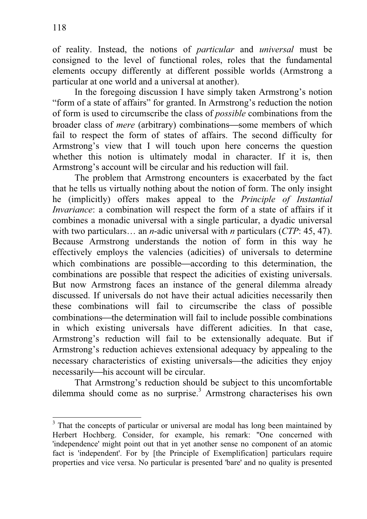of reality. Instead, the notions of *particular* and *universal* must be consigned to the level of functional roles, roles that the fundamental elements occupy differently at different possible worlds (Armstrong a particular at one world and a universal at another).

In the foregoing discussion I have simply taken Armstrong's notion "form of a state of affairs" for granted. In Armstrong's reduction the notion of form is used to circumscribe the class of *possible* combinations from the broader class of *mere* (arbitrary) combinations—some members of which fail to respect the form of states of affairs. The second difficulty for Armstrong's view that I will touch upon here concerns the question whether this notion is ultimately modal in character. If it is, then Armstrong's account will be circular and his reduction will fail.

The problem that Armstrong encounters is exacerbated by the fact that he tells us virtually nothing about the notion of form. The only insight he (implicitly) offers makes appeal to the *Principle of Instantial Invariance*: a combination will respect the form of a state of affairs if it combines a monadic universal with a single particular, a dyadic universal with two particulars… an *n*-adic universal with *n* particulars (*CTP*: 45, 47). Because Armstrong understands the notion of form in this way he effectively employs the valencies (adicities) of universals to determine which combinations are possible—according to this determination, the combinations are possible that respect the adicities of existing universals. But now Armstrong faces an instance of the general dilemma already discussed. If universals do not have their actual adicities necessarily then these combinations will fail to circumscribe the class of possible combinations—the determination will fail to include possible combinations in which existing universals have different adicities. In that case, Armstrong's reduction will fail to be extensionally adequate. But if Armstrong's reduction achieves extensional adequacy by appealing to the necessary characteristics of existing universals—the adicities they enjoy necessarily—his account will be circular.

That Armstrong's reduction should be subject to this uncomfortable dilemma should come as no surprise.<sup>3</sup> Armstrong characterises his own

<sup>&</sup>lt;sup>3</sup> That the concepts of particular or universal are modal has long been maintained by Herbert Hochberg. Consider, for example, his remark: "One concerned with 'independence' might point out that in yet another sense no component of an atomic fact is 'independent'. For by [the Principle of Exemplification] particulars require properties and vice versa. No particular is presented 'bare' and no quality is presented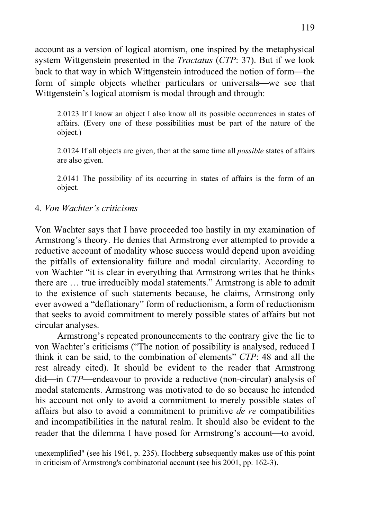account as a version of logical atomism, one inspired by the metaphysical system Wittgenstein presented in the *Tractatus* (*CTP*: 37). But if we look back to that way in which Wittgenstein introduced the notion of form—the form of simple objects whether particulars or universals—we see that Wittgenstein's logical atomism is modal through and through:

2.0123 If I know an object I also know all its possible occurrences in states of affairs. (Every one of these possibilities must be part of the nature of the object.)

2.0124 If all objects are given, then at the same time all *possible* states of affairs are also given.

2.0141 The possibility of its occurring in states of affairs is the form of an object.

## 4. *Von Wachter's criticisms*

Von Wachter says that I have proceeded too hastily in my examination of Armstrong's theory. He denies that Armstrong ever attempted to provide a reductive account of modality whose success would depend upon avoiding the pitfalls of extensionality failure and modal circularity. According to von Wachter "it is clear in everything that Armstrong writes that he thinks there are … true irreducibly modal statements." Armstrong is able to admit to the existence of such statements because, he claims, Armstrong only ever avowed a "deflationary" form of reductionism, a form of reductionism that seeks to avoid commitment to merely possible states of affairs but not circular analyses.

 Armstrong's repeated pronouncements to the contrary give the lie to von Wachter's criticisms ("The notion of possibility is analysed, reduced I think it can be said, to the combination of elements" *CTP*: 48 and all the rest already cited). It should be evident to the reader that Armstrong did—in *CTP*—endeavour to provide a reductive (non-circular) analysis of modal statements. Armstrong was motivated to do so because he intended his account not only to avoid a commitment to merely possible states of affairs but also to avoid a commitment to primitive *de re* compatibilities and incompatibilities in the natural realm. It should also be evident to the reader that the dilemma I have posed for Armstrong's account—to avoid,

unexemplified" (see his 1961, p. 235). Hochberg subsequently makes use of this point in criticism of Armstrong's combinatorial account (see his 2001, pp. 162-3).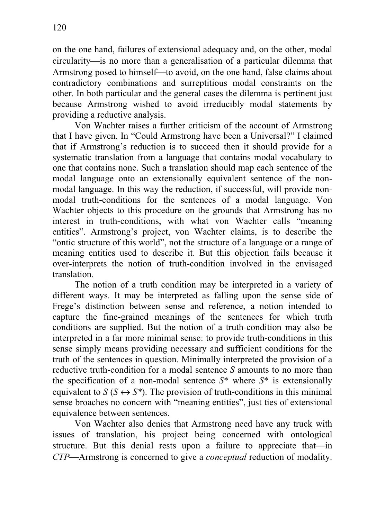on the one hand, failures of extensional adequacy and, on the other, modal circularity—is no more than a generalisation of a particular dilemma that Armstrong posed to himself—to avoid, on the one hand, false claims about contradictory combinations and surreptitious modal constraints on the other. In both particular and the general cases the dilemma is pertinent just because Armstrong wished to avoid irreducibly modal statements by providing a reductive analysis.

 Von Wachter raises a further criticism of the account of Armstrong that I have given. In "Could Armstrong have been a Universal?" I claimed that if Armstrong's reduction is to succeed then it should provide for a systematic translation from a language that contains modal vocabulary to one that contains none. Such a translation should map each sentence of the modal language onto an extensionally equivalent sentence of the nonmodal language. In this way the reduction, if successful, will provide nonmodal truth-conditions for the sentences of a modal language. Von Wachter objects to this procedure on the grounds that Armstrong has no interest in truth-conditions, with what von Wachter calls "meaning entities". Armstrong's project, von Wachter claims, is to describe the "ontic structure of this world", not the structure of a language or a range of meaning entities used to describe it. But this objection fails because it over-interprets the notion of truth-condition involved in the envisaged translation.

The notion of a truth condition may be interpreted in a variety of different ways. It may be interpreted as falling upon the sense side of Frege's distinction between sense and reference, a notion intended to capture the fine-grained meanings of the sentences for which truth conditions are supplied. But the notion of a truth-condition may also be interpreted in a far more minimal sense: to provide truth-conditions in this sense simply means providing necessary and sufficient conditions for the truth of the sentences in question. Minimally interpreted the provision of a reductive truth-condition for a modal sentence *S* amounts to no more than the specification of a non-modal sentence *S*\* where *S*\* is extensionally equivalent to  $S(S \leftrightarrow S^*)$ . The provision of truth-conditions in this minimal sense broaches no concern with "meaning entities", just ties of extensional equivalence between sentences.

Von Wachter also denies that Armstrong need have any truck with issues of translation, his project being concerned with ontological structure. But this denial rests upon a failure to appreciate that—in *CTP*⎯Armstrong is concerned to give a *conceptual* reduction of modality.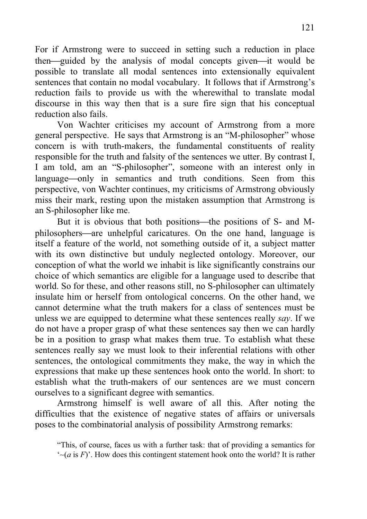For if Armstrong were to succeed in setting such a reduction in place then—guided by the analysis of modal concepts given—it would be possible to translate all modal sentences into extensionally equivalent sentences that contain no modal vocabulary. It follows that if Armstrong's reduction fails to provide us with the wherewithal to translate modal discourse in this way then that is a sure fire sign that his conceptual reduction also fails.

Von Wachter criticises my account of Armstrong from a more general perspective. He says that Armstrong is an "M-philosopher" whose concern is with truth-makers, the fundamental constituents of reality responsible for the truth and falsity of the sentences we utter. By contrast I, I am told, am an "S-philosopher", someone with an interest only in language—only in semantics and truth conditions. Seen from this perspective, von Wachter continues, my criticisms of Armstrong obviously miss their mark, resting upon the mistaken assumption that Armstrong is an S-philosopher like me.

But it is obvious that both positions—the positions of S- and Mphilosophers—are unhelpful caricatures. On the one hand, language is itself a feature of the world, not something outside of it, a subject matter with its own distinctive but unduly neglected ontology. Moreover, our conception of what the world we inhabit is like significantly constrains our choice of which semantics are eligible for a language used to describe that world. So for these, and other reasons still, no S-philosopher can ultimately insulate him or herself from ontological concerns. On the other hand, we cannot determine what the truth makers for a class of sentences must be unless we are equipped to determine what these sentences really *say*. If we do not have a proper grasp of what these sentences say then we can hardly be in a position to grasp what makes them true. To establish what these sentences really say we must look to their inferential relations with other sentences, the ontological commitments they make, the way in which the expressions that make up these sentences hook onto the world. In short: to establish what the truth-makers of our sentences are we must concern ourselves to a significant degree with semantics.

Armstrong himself is well aware of all this. After noting the difficulties that the existence of negative states of affairs or universals poses to the combinatorial analysis of possibility Armstrong remarks:

<sup>&</sup>quot;This, of course, faces us with a further task: that of providing a semantics for '∼(*a* is *F*)'. How does this contingent statement hook onto the world? It is rather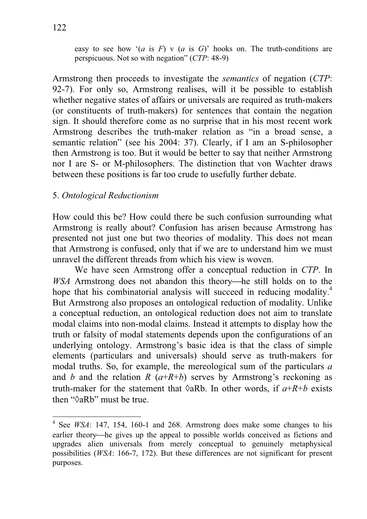easy to see how '(*a* is *F*) v (*a* is *G*)' hooks on. The truth-conditions are perspicuous. Not so with negation" (*CTP*: 48-9)

Armstrong then proceeds to investigate the *semantics* of negation (*CTP*: 92-7). For only so, Armstrong realises, will it be possible to establish whether negative states of affairs or universals are required as truth-makers (or constituents of truth-makers) for sentences that contain the negation sign. It should therefore come as no surprise that in his most recent work Armstrong describes the truth-maker relation as "in a broad sense, a semantic relation" (see his 2004: 37). Clearly, if I am an S-philosopher then Armstrong is too. But it would be better to say that neither Armstrong nor I are S- or M-philosophers. The distinction that von Wachter draws between these positions is far too crude to usefully further debate.

## 5. *Ontological Reductionism*

How could this be? How could there be such confusion surrounding what Armstrong is really about? Confusion has arisen because Armstrong has presented not just one but two theories of modality. This does not mean that Armstrong is confused, only that if we are to understand him we must unravel the different threads from which his view is woven.

We have seen Armstrong offer a conceptual reduction in *CTP*. In *WSA* Armstrong does not abandon this theory—he still holds on to the hope that his combinatorial analysis will succeed in reducing modality.<sup>4</sup> But Armstrong also proposes an ontological reduction of modality. Unlike a conceptual reduction, an ontological reduction does not aim to translate modal claims into non-modal claims. Instead it attempts to display how the truth or falsity of modal statements depends upon the configurations of an underlying ontology. Armstrong's basic idea is that the class of simple elements (particulars and universals) should serve as truth-makers for modal truths. So, for example, the mereological sum of the particulars *a* and *b* and the relation *R*  $(a+R+b)$  serves by Armstrong's reckoning as truth-maker for the statement that  $\Diamond aRb$ . In other words, if  $a+R+b$  exists then " $\Diamond aRb$ " must be true.

<sup>&</sup>lt;sup>4</sup> See *WSA*: 147, 154, 160-1 and 268. Armstrong does make some changes to his earlier theory—he gives up the appeal to possible worlds conceived as fictions and upgrades alien universals from merely conceptual to genuinely metaphysical possibilities (*WSA*: 166-7, 172). But these differences are not significant for present purposes.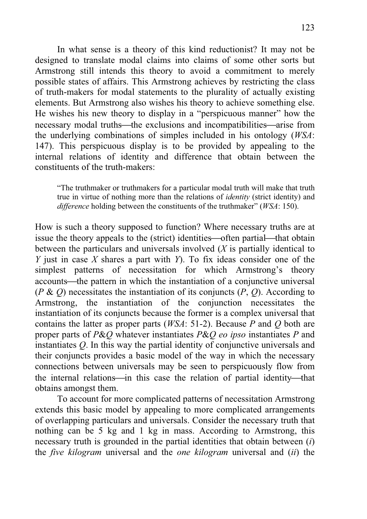In what sense is a theory of this kind reductionist? It may not be designed to translate modal claims into claims of some other sorts but Armstrong still intends this theory to avoid a commitment to merely possible states of affairs. This Armstrong achieves by restricting the class of truth-makers for modal statements to the plurality of actually existing elements. But Armstrong also wishes his theory to achieve something else. He wishes his new theory to display in a "perspicuous manner" how the necessary modal truths—the exclusions and incompatibilities—arise from the underlying combinations of simples included in his ontology (*WSA*: 147). This perspicuous display is to be provided by appealing to the internal relations of identity and difference that obtain between the constituents of the truth-makers:

"The truthmaker or truthmakers for a particular modal truth will make that truth true in virtue of nothing more than the relations of *identity* (strict identity) and *difference* holding between the constituents of the truthmaker" (*WSA*: 150).

How is such a theory supposed to function? Where necessary truths are at issue the theory appeals to the (strict) identities—often partial—that obtain between the particulars and universals involved (*X* is partially identical to *Y* just in case *X* shares a part with *Y*). To fix ideas consider one of the simplest patterns of necessitation for which Armstrong's theory accounts—the pattern in which the instantiation of a conjunctive universal (*P* & *Q*) necessitates the instantiation of its conjuncts (*P*, *Q*). According to Armstrong, the instantiation of the conjunction necessitates the instantiation of its conjuncts because the former is a complex universal that contains the latter as proper parts (*WSA*: 51-2). Because *P* and *Q* both are proper parts of *P*&*Q* whatever instantiates *P*&*Q eo ipso* instantiates *P* and instantiates *Q*. In this way the partial identity of conjunctive universals and their conjuncts provides a basic model of the way in which the necessary connections between universals may be seen to perspicuously flow from the internal relations—in this case the relation of partial identity—that obtains amongst them.

To account for more complicated patterns of necessitation Armstrong extends this basic model by appealing to more complicated arrangements of overlapping particulars and universals. Consider the necessary truth that nothing can be 5 kg and 1 kg in mass. According to Armstrong, this necessary truth is grounded in the partial identities that obtain between (*i*) the *five kilogram* universal and the *one kilogram* universal and (*ii*) the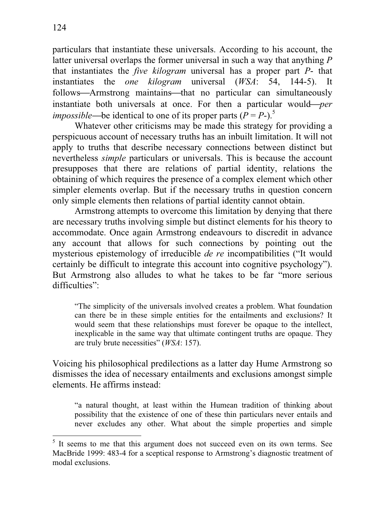particulars that instantiate these universals. According to his account, the latter universal overlaps the former universal in such a way that anything *P* that instantiates the *five kilogram* universal has a proper part *P*- that instantiates the *one kilogram* universal (*WSA*: 54, 144-5). It follows—Armstrong maintains—that no particular can simultaneously instantiate both universals at once. For then a particular would—*per impossible*—be identical to one of its proper parts ( $P = P$ -).<sup>5</sup>

Whatever other criticisms may be made this strategy for providing a perspicuous account of necessary truths has an inbuilt limitation. It will not apply to truths that describe necessary connections between distinct but nevertheless *simple* particulars or universals. This is because the account presupposes that there are relations of partial identity, relations the obtaining of which requires the presence of a complex element which other simpler elements overlap. But if the necessary truths in question concern only simple elements then relations of partial identity cannot obtain.

Armstrong attempts to overcome this limitation by denying that there are necessary truths involving simple but distinct elements for his theory to accommodate. Once again Armstrong endeavours to discredit in advance any account that allows for such connections by pointing out the mysterious epistemology of irreducible *de re* incompatibilities ("It would certainly be difficult to integrate this account into cognitive psychology"). But Armstrong also alludes to what he takes to be far "more serious difficulties".

"The simplicity of the universals involved creates a problem. What foundation can there be in these simple entities for the entailments and exclusions? It would seem that these relationships must forever be opaque to the intellect, inexplicable in the same way that ultimate contingent truths are opaque. They are truly brute necessities" (*WSA*: 157).

Voicing his philosophical predilections as a latter day Hume Armstrong so dismisses the idea of necessary entailments and exclusions amongst simple elements. He affirms instead:

"a natural thought, at least within the Humean tradition of thinking about possibility that the existence of one of these thin particulars never entails and never excludes any other. What about the simple properties and simple

<sup>5</sup> It seems to me that this argument does not succeed even on its own terms. See MacBride 1999: 483-4 for a sceptical response to Armstrong's diagnostic treatment of modal exclusions.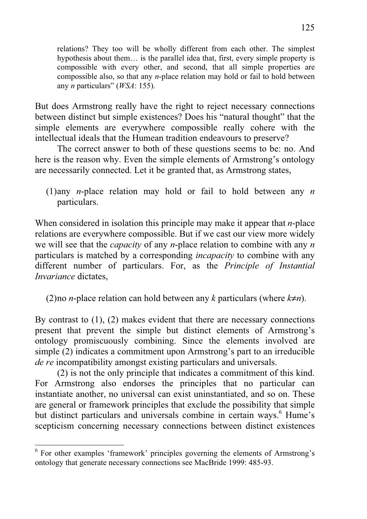relations? They too will be wholly different from each other. The simplest hypothesis about them… is the parallel idea that, first, every simple property is compossible with every other, and second, that all simple properties are compossible also, so that any *n*-place relation may hold or fail to hold between any *n* particulars" (*WSA*: 155).

But does Armstrong really have the right to reject necessary connections between distinct but simple existences? Does his "natural thought" that the simple elements are everywhere compossible really cohere with the intellectual ideals that the Humean tradition endeavours to preserve?

 The correct answer to both of these questions seems to be: no. And here is the reason why. Even the simple elements of Armstrong's ontology are necessarily connected. Let it be granted that, as Armstrong states,

(1) any *n*-place relation may hold or fail to hold between any *n* particulars.

When considered in isolation this principle may make it appear that *n*-place relations are everywhere compossible. But if we cast our view more widely we will see that the *capacity* of any *n*-place relation to combine with any *n* particulars is matched by a corresponding *incapacity* to combine with any different number of particulars. For, as the *Principle of Instantial Invariance* dictates,

(2) no *n*-place relation can hold between any *k* particulars (where  $k \neq n$ ).

By contrast to (1), (2) makes evident that there are necessary connections present that prevent the simple but distinct elements of Armstrong's ontology promiscuously combining. Since the elements involved are simple (2) indicates a commitment upon Armstrong's part to an irreducible *de re* incompatibility amongst existing particulars and universals.

(2) is not the only principle that indicates a commitment of this kind. For Armstrong also endorses the principles that no particular can instantiate another, no universal can exist uninstantiated, and so on. These are general or framework principles that exclude the possibility that simple but distinct particulars and universals combine in certain ways.<sup>6</sup> Hume's scepticism concerning necessary connections between distinct existences

<sup>&</sup>lt;sup>6</sup> For other examples 'framework' principles governing the elements of Armstrong's ontology that generate necessary connections see MacBride 1999: 485-93.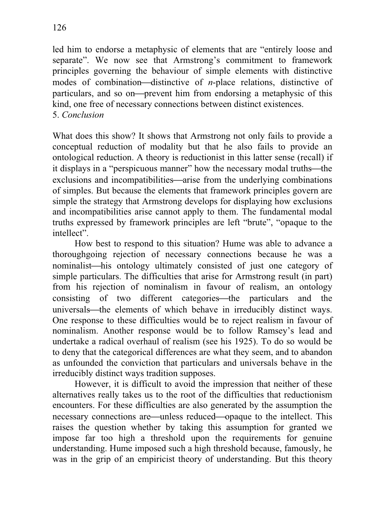particulars, and so on—prevent him from endorsing a metaphysic of this kind, one free of necessary connections between distinct existences. 5. *Conclusion*

What does this show? It shows that Armstrong not only fails to provide a conceptual reduction of modality but that he also fails to provide an ontological reduction. A theory is reductionist in this latter sense (recall) if it displays in a "perspicuous manner" how the necessary modal truths—the exclusions and incompatibilities—arise from the underlying combinations of simples. But because the elements that framework principles govern are simple the strategy that Armstrong develops for displaying how exclusions and incompatibilities arise cannot apply to them. The fundamental modal truths expressed by framework principles are left "brute", "opaque to the intellect".

 How best to respond to this situation? Hume was able to advance a thoroughgoing rejection of necessary connections because he was a nominalist—his ontology ultimately consisted of just one category of simple particulars. The difficulties that arise for Armstrong result (in part) from his rejection of nominalism in favour of realism, an ontology consisting of two different categories—the particulars and the universals—the elements of which behave in irreducibly distinct ways. One response to these difficulties would be to reject realism in favour of nominalism. Another response would be to follow Ramsey's lead and undertake a radical overhaul of realism (see his 1925). To do so would be to deny that the categorical differences are what they seem, and to abandon as unfounded the conviction that particulars and universals behave in the irreducibly distinct ways tradition supposes.

 However, it is difficult to avoid the impression that neither of these alternatives really takes us to the root of the difficulties that reductionism encounters. For these difficulties are also generated by the assumption the necessary connections are—unless reduced—opaque to the intellect. This raises the question whether by taking this assumption for granted we impose far too high a threshold upon the requirements for genuine understanding. Hume imposed such a high threshold because, famously, he was in the grip of an empiricist theory of understanding. But this theory